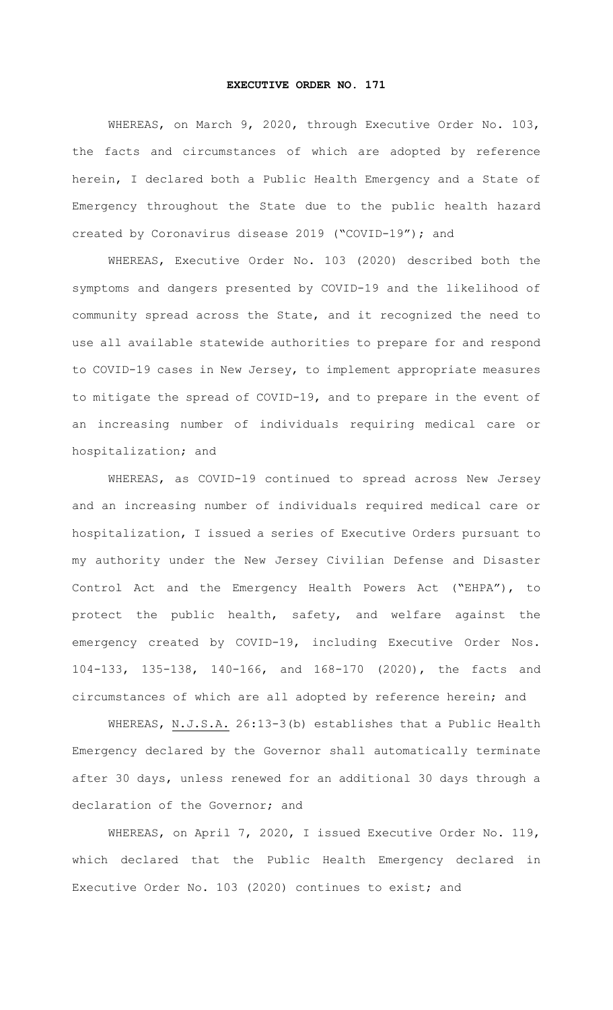## **EXECUTIVE ORDER NO. 171**

WHEREAS, on March 9, 2020, through Executive Order No. 103, the facts and circumstances of which are adopted by reference herein, I declared both a Public Health Emergency and a State of Emergency throughout the State due to the public health hazard created by Coronavirus disease 2019 ("COVID-19"); and

WHEREAS, Executive Order No. 103 (2020) described both the symptoms and dangers presented by COVID-19 and the likelihood of community spread across the State, and it recognized the need to use all available statewide authorities to prepare for and respond to COVID-19 cases in New Jersey, to implement appropriate measures to mitigate the spread of COVID-19, and to prepare in the event of an increasing number of individuals requiring medical care or hospitalization; and

WHEREAS, as COVID-19 continued to spread across New Jersey and an increasing number of individuals required medical care or hospitalization, I issued a series of Executive Orders pursuant to my authority under the New Jersey Civilian Defense and Disaster Control Act and the Emergency Health Powers Act ("EHPA"), to protect the public health, safety, and welfare against the emergency created by COVID-19, including Executive Order Nos. 104-133, 135-138, 140-166, and 168-170 (2020), the facts and circumstances of which are all adopted by reference herein; and

WHEREAS, N.J.S.A. 26:13-3(b) establishes that a Public Health Emergency declared by the Governor shall automatically terminate after 30 days, unless renewed for an additional 30 days through a declaration of the Governor; and

WHEREAS, on April 7, 2020, I issued Executive Order No. 119, which declared that the Public Health Emergency declared in Executive Order No. 103 (2020) continues to exist; and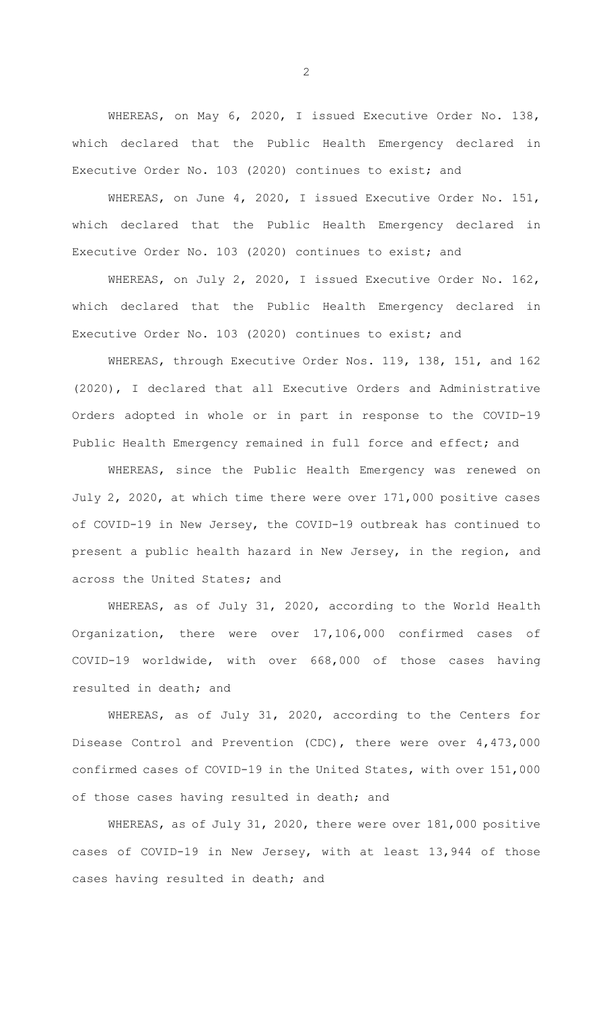WHEREAS, on May 6, 2020, I issued Executive Order No. 138, which declared that the Public Health Emergency declared in Executive Order No. 103 (2020) continues to exist; and

WHEREAS, on June 4, 2020, I issued Executive Order No. 151, which declared that the Public Health Emergency declared in Executive Order No. 103 (2020) continues to exist; and

WHEREAS, on July 2, 2020, I issued Executive Order No. 162, which declared that the Public Health Emergency declared in Executive Order No. 103 (2020) continues to exist; and

WHEREAS, through Executive Order Nos. 119, 138, 151, and 162 (2020), I declared that all Executive Orders and Administrative Orders adopted in whole or in part in response to the COVID-19 Public Health Emergency remained in full force and effect; and

WHEREAS, since the Public Health Emergency was renewed on July 2, 2020, at which time there were over 171,000 positive cases of COVID-19 in New Jersey, the COVID-19 outbreak has continued to present a public health hazard in New Jersey, in the region, and across the United States; and

WHEREAS, as of July 31, 2020, according to the World Health Organization, there were over 17,106,000 confirmed cases of COVID-19 worldwide, with over 668,000 of those cases having resulted in death; and

WHEREAS, as of July 31, 2020, according to the Centers for Disease Control and Prevention (CDC), there were over 4,473,000 confirmed cases of COVID-19 in the United States, with over 151,000 of those cases having resulted in death; and

WHEREAS, as of July 31, 2020, there were over 181,000 positive cases of COVID-19 in New Jersey, with at least 13,944 of those cases having resulted in death; and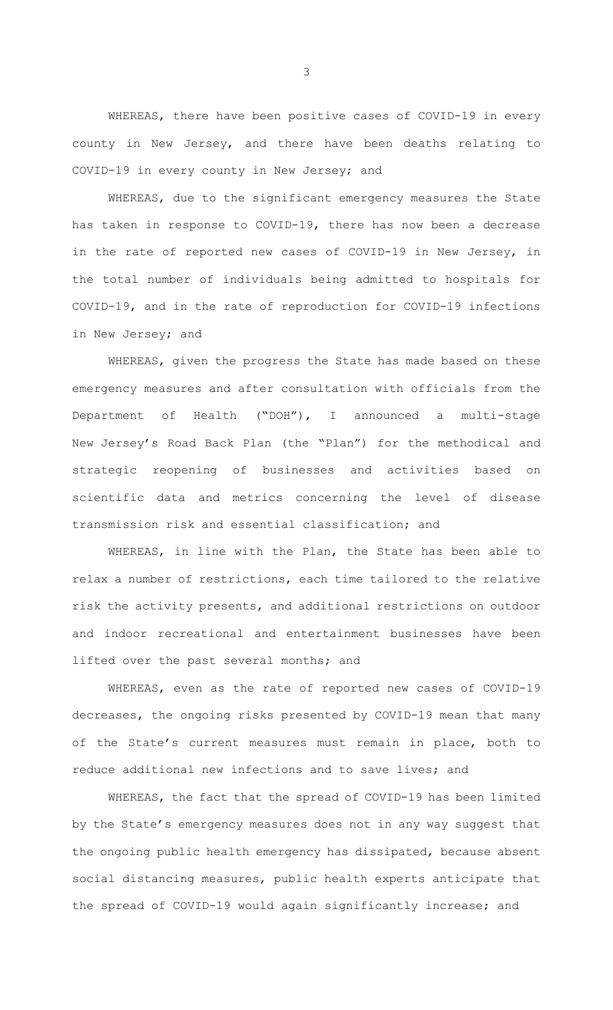WHEREAS, there have been positive cases of COVID-19 in every county in New Jersey, and there have been deaths relating to COVID-19 in every county in New Jersey; and

WHEREAS, due to the significant emergency measures the State has taken in response to COVID-19, there has now been a decrease in the rate of reported new cases of COVID-19 in New Jersey, in the total number of individuals being admitted to hospitals for COVID-19, and in the rate of reproduction for COVID-19 infections in New Jersey; and

WHEREAS, given the progress the State has made based on these emergency measures and after consultation with officials from the Department of Health ("DOH"), I announced a multi-stage New Jersey's Road Back Plan (the "Plan") for the methodical and strategic reopening of businesses and activities based on scientific data and metrics concerning the level of disease transmission risk and essential classification; and

WHEREAS, in line with the Plan, the State has been able to relax a number of restrictions, each time tailored to the relative risk the activity presents, and additional restrictions on outdoor and indoor recreational and entertainment businesses have been lifted over the past several months; and

WHEREAS, even as the rate of reported new cases of COVID-19 decreases, the ongoing risks presented by COVID-19 mean that many of the State's current measures must remain in place, both to reduce additional new infections and to save lives; and

WHEREAS, the fact that the spread of COVID-19 has been limited by the State's emergency measures does not in any way suggest that the ongoing public health emergency has dissipated, because absent social distancing measures, public health experts anticipate that the spread of COVID-19 would again significantly increase; and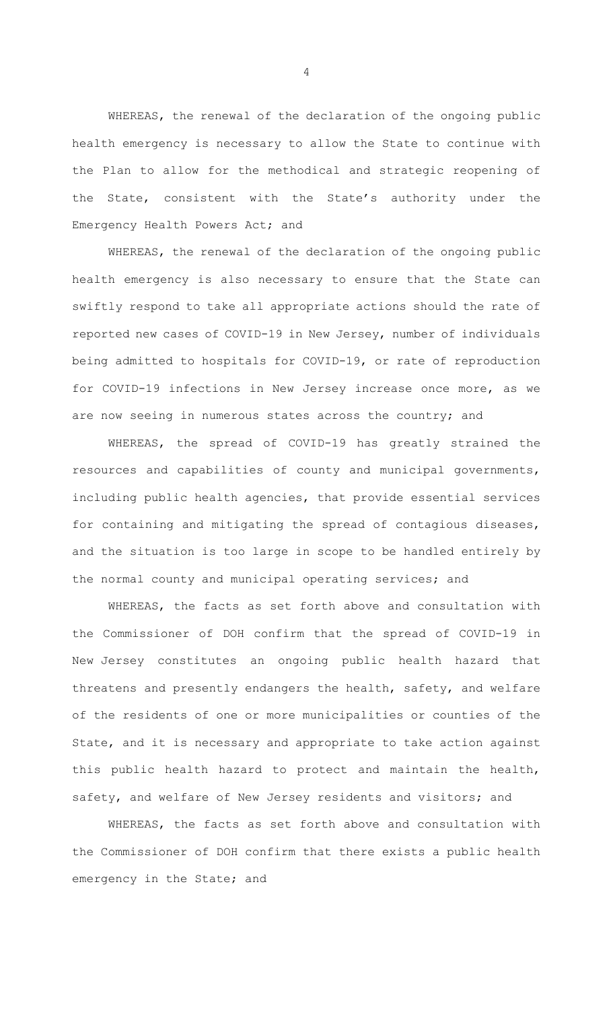WHEREAS, the renewal of the declaration of the ongoing public health emergency is necessary to allow the State to continue with the Plan to allow for the methodical and strategic reopening of the State, consistent with the State's authority under the Emergency Health Powers Act; and

WHEREAS, the renewal of the declaration of the ongoing public health emergency is also necessary to ensure that the State can swiftly respond to take all appropriate actions should the rate of reported new cases of COVID-19 in New Jersey, number of individuals being admitted to hospitals for COVID-19, or rate of reproduction for COVID-19 infections in New Jersey increase once more, as we are now seeing in numerous states across the country; and

WHEREAS, the spread of COVID-19 has greatly strained the resources and capabilities of county and municipal governments, including public health agencies, that provide essential services for containing and mitigating the spread of contagious diseases, and the situation is too large in scope to be handled entirely by the normal county and municipal operating services; and

WHEREAS, the facts as set forth above and consultation with the Commissioner of DOH confirm that the spread of COVID-19 in New Jersey constitutes an ongoing public health hazard that threatens and presently endangers the health, safety, and welfare of the residents of one or more municipalities or counties of the State, and it is necessary and appropriate to take action against this public health hazard to protect and maintain the health, safety, and welfare of New Jersey residents and visitors; and

WHEREAS, the facts as set forth above and consultation with the Commissioner of DOH confirm that there exists a public health emergency in the State; and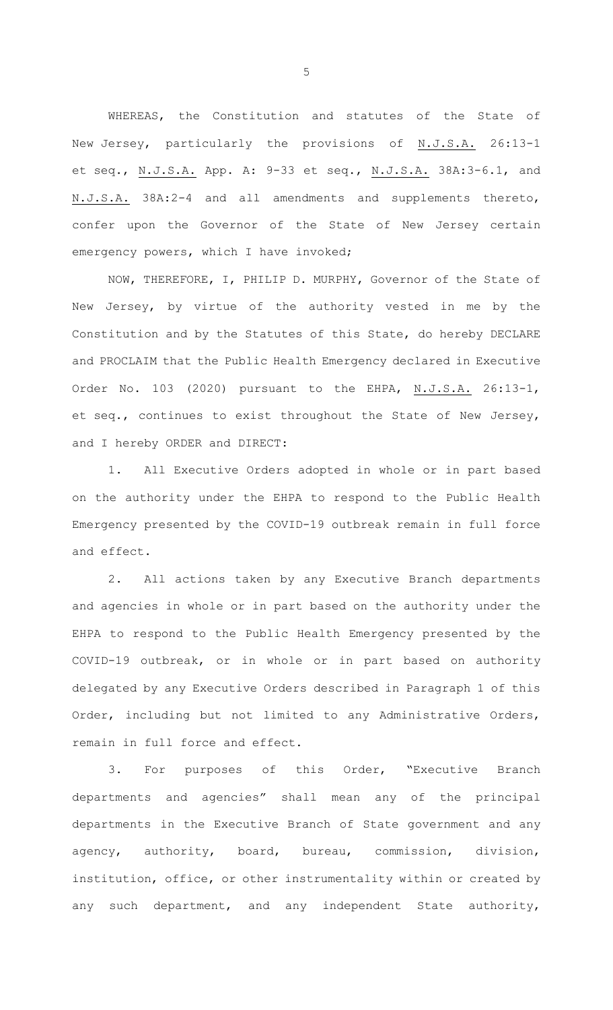WHEREAS, the Constitution and statutes of the State of New Jersey, particularly the provisions of N.J.S.A. 26:13-1 et seq., N.J.S.A. App. A: 9-33 et seq., N.J.S.A. 38A:3-6.1, and N.J.S.A. 38A:2-4 and all amendments and supplements thereto, confer upon the Governor of the State of New Jersey certain emergency powers, which I have invoked;

NOW, THEREFORE, I, PHILIP D. MURPHY, Governor of the State of New Jersey, by virtue of the authority vested in me by the Constitution and by the Statutes of this State, do hereby DECLARE and PROCLAIM that the Public Health Emergency declared in Executive Order No. 103 (2020) pursuant to the EHPA, N.J.S.A. 26:13-1, et seq., continues to exist throughout the State of New Jersey, and I hereby ORDER and DIRECT:

1. All Executive Orders adopted in whole or in part based on the authority under the EHPA to respond to the Public Health Emergency presented by the COVID-19 outbreak remain in full force and effect.

2. All actions taken by any Executive Branch departments and agencies in whole or in part based on the authority under the EHPA to respond to the Public Health Emergency presented by the COVID-19 outbreak, or in whole or in part based on authority delegated by any Executive Orders described in Paragraph 1 of this Order, including but not limited to any Administrative Orders, remain in full force and effect.

3. For purposes of this Order, "Executive Branch departments and agencies" shall mean any of the principal departments in the Executive Branch of State government and any agency, authority, board, bureau, commission, division, institution, office, or other instrumentality within or created by any such department, and any independent State authority,